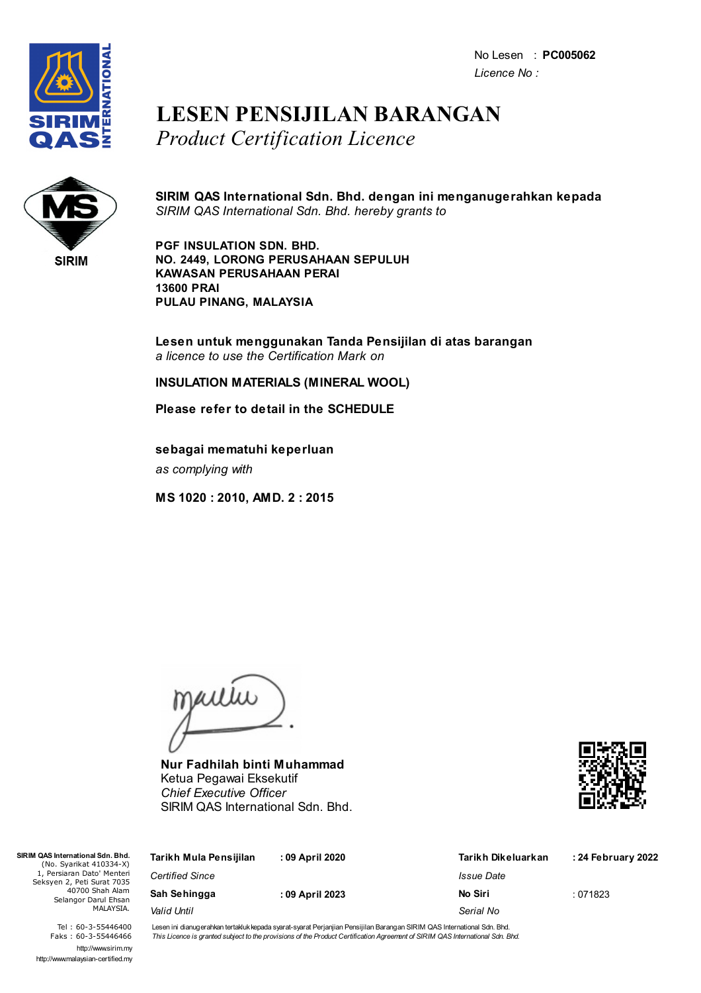No Lesen : **PC005062** *Licence No :*



## **LESEN PENSIJILAN BARANGAN** *Product Certification Licence*



**SIRIM QAS International Sdn. Bhd. dengan ini menganugerahkan kepada** *SIRIM QAS International Sdn. Bhd. hereby grants to*

**PGF INSULATION SDN. BHD. NO. 2449, LORONG PERUSAHAAN SEPULUH KAWASAN PERUSAHAAN PERAI 13600 PRAI PULAU PINANG, MALAYSIA**

**Lesen untuk menggunakan Tanda Pensijilan di atas barangan** *a licence to use the Certification Mark on*

**INSULATION MATERIALS (MINERAL WOOL)**

**Please refer to detail in the SCHEDULE**

**sebagai mematuhi keperluan** *as complying with*

**MS 1020 : 2010, AMD. 2 : 2015**

jailie

**Nur Fadhilah binti Muhammad** Ketua Pegawai Eksekutif *Chief Executive Officer* SIRIM QAS International Sdn. Bhd.



| QAS International Sdn. Bhd.<br>(No. Syarikat 410334-X)                                                          | Tarikh Mula Pensijilan | : 09 April 2020 | Tarikh Dikeluarkan | : 24 February 2022 |
|-----------------------------------------------------------------------------------------------------------------|------------------------|-----------------|--------------------|--------------------|
| 1, Persiaran Dato' Menteri<br>eksyen 2, Peti Surat 7035<br>40700 Shah Alam<br>Selangor Darul Ehsan<br>MALAYSIA. | <b>Certified Since</b> |                 | <i>Issue Date</i>  |                    |
|                                                                                                                 | Sah Sehingga           | : 09 April 2023 | No Siri            | :071823            |
|                                                                                                                 | Valid Until            |                 | Serial No          |                    |

Tel : 60-3-55446400 Faks : 60-3-55446466 http://www.sirim.my http://www.malaysian-certified.my

 $SIRIMO4$ 

Seks<sup>1</sup>

Lesen ini dianugerahkan tertakluk kepada syarat-syarat Perjanjian Pensijilan Barangan SIRIM QAS International Sdn. Bhd. This Licence is granted subject to the provisions of the Product Certification Agreement of SIRIM QAS International Sdn. Bhd.